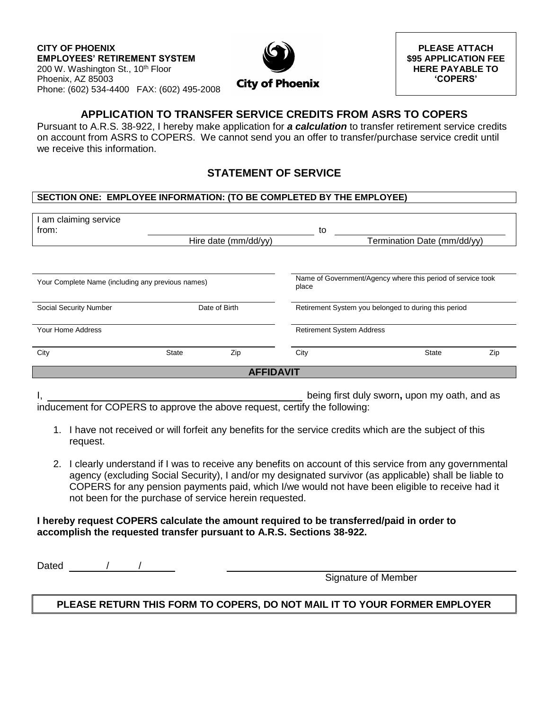

**PLEASE ATTACH \$95 APPLICATION FEE HERE PAYABLE TO 'COPERS'**

# **APPLICATION TO TRANSFER SERVICE CREDITS FROM ASRS TO COPERS**

Pursuant to A.R.S. 38-922, I hereby make application for *a calculation* to transfer retirement service credits on account from ASRS to COPERS. We cannot send you an offer to transfer/purchase service credit until we receive this information.

# **STATEMENT OF SERVICE**

### **SECTION ONE: EMPLOYEE INFORMATION: (TO BE COMPLETED BY THE EMPLOYEE)**

| I am claiming service<br>from:                    |               |                      | to                               |                                                             |     |  |  |
|---------------------------------------------------|---------------|----------------------|----------------------------------|-------------------------------------------------------------|-----|--|--|
|                                                   |               | Hire date (mm/dd/yy) |                                  | Termination Date (mm/dd/yy)                                 |     |  |  |
|                                                   |               |                      |                                  |                                                             |     |  |  |
| Your Complete Name (including any previous names) |               |                      | place                            | Name of Government/Agency where this period of service took |     |  |  |
| Social Security Number                            | Date of Birth |                      |                                  | Retirement System you belonged to during this period        |     |  |  |
| Your Home Address                                 |               |                      | <b>Retirement System Address</b> |                                                             |     |  |  |
| City                                              | <b>State</b>  | Zip                  | City                             | <b>State</b>                                                | Zip |  |  |
| <b>AFFIDAVIT</b>                                  |               |                      |                                  |                                                             |     |  |  |

I, being first duly sworn**,** upon my oath, and as

inducement for COPERS to approve the above request, certify the following:

- 1. I have not received or will forfeit any benefits for the service credits which are the subject of this request.
- 2. I clearly understand if I was to receive any benefits on account of this service from any governmental agency (excluding Social Security), I and/or my designated survivor (as applicable) shall be liable to COPERS for any pension payments paid, which I/we would not have been eligible to receive had it not been for the purchase of service herein requested.

### **I hereby request COPERS calculate the amount required to be transferred/paid in order to accomplish the requested transfer pursuant to A.R.S. Sections 38-922.**

Dated / /

Signature of Member

## **PLEASE RETURN THIS FORM TO COPERS, DO NOT MAIL IT TO YOUR FORMER EMPLOYER**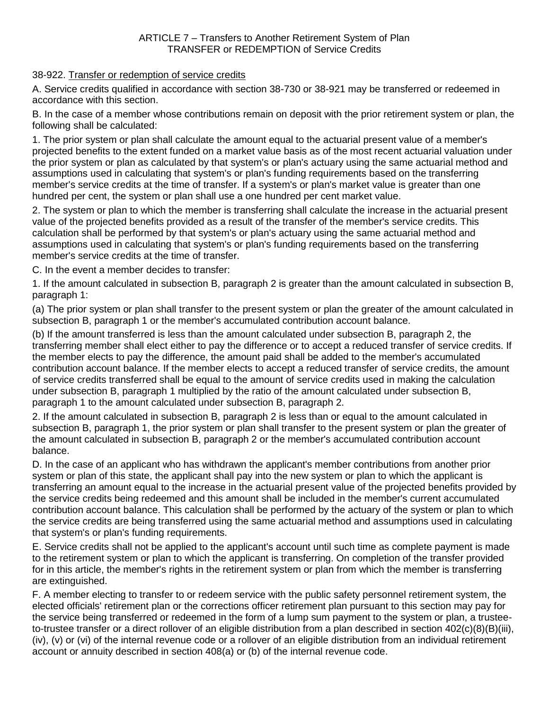### 38-922. Transfer or redemption of service credits

A. Service credits qualified in accordance with section 38-730 or 38-921 may be transferred or redeemed in accordance with this section.

B. In the case of a member whose contributions remain on deposit with the prior retirement system or plan, the following shall be calculated:

1. The prior system or plan shall calculate the amount equal to the actuarial present value of a member's projected benefits to the extent funded on a market value basis as of the most recent actuarial valuation under the prior system or plan as calculated by that system's or plan's actuary using the same actuarial method and assumptions used in calculating that system's or plan's funding requirements based on the transferring member's service credits at the time of transfer. If a system's or plan's market value is greater than one hundred per cent, the system or plan shall use a one hundred per cent market value.

2. The system or plan to which the member is transferring shall calculate the increase in the actuarial present value of the projected benefits provided as a result of the transfer of the member's service credits. This calculation shall be performed by that system's or plan's actuary using the same actuarial method and assumptions used in calculating that system's or plan's funding requirements based on the transferring member's service credits at the time of transfer.

C. In the event a member decides to transfer:

1. If the amount calculated in subsection B, paragraph 2 is greater than the amount calculated in subsection B, paragraph 1:

(a) The prior system or plan shall transfer to the present system or plan the greater of the amount calculated in subsection B, paragraph 1 or the member's accumulated contribution account balance.

(b) If the amount transferred is less than the amount calculated under subsection B, paragraph 2, the transferring member shall elect either to pay the difference or to accept a reduced transfer of service credits. If the member elects to pay the difference, the amount paid shall be added to the member's accumulated contribution account balance. If the member elects to accept a reduced transfer of service credits, the amount of service credits transferred shall be equal to the amount of service credits used in making the calculation under subsection B, paragraph 1 multiplied by the ratio of the amount calculated under subsection B, paragraph 1 to the amount calculated under subsection B, paragraph 2.

2. If the amount calculated in subsection B, paragraph 2 is less than or equal to the amount calculated in subsection B, paragraph 1, the prior system or plan shall transfer to the present system or plan the greater of the amount calculated in subsection B, paragraph 2 or the member's accumulated contribution account balance.

D. In the case of an applicant who has withdrawn the applicant's member contributions from another prior system or plan of this state, the applicant shall pay into the new system or plan to which the applicant is transferring an amount equal to the increase in the actuarial present value of the projected benefits provided by the service credits being redeemed and this amount shall be included in the member's current accumulated contribution account balance. This calculation shall be performed by the actuary of the system or plan to which the service credits are being transferred using the same actuarial method and assumptions used in calculating that system's or plan's funding requirements.

E. Service credits shall not be applied to the applicant's account until such time as complete payment is made to the retirement system or plan to which the applicant is transferring. On completion of the transfer provided for in this article, the member's rights in the retirement system or plan from which the member is transferring are extinguished.

F. A member electing to transfer to or redeem service with the public safety personnel retirement system, the elected officials' retirement plan or the corrections officer retirement plan pursuant to this section may pay for the service being transferred or redeemed in the form of a lump sum payment to the system or plan, a trusteeto-trustee transfer or a direct rollover of an eligible distribution from a plan described in section 402(c)(8)(B)(iii), (iv), (v) or (vi) of the internal revenue code or a rollover of an eligible distribution from an individual retirement account or annuity described in section 408(a) or (b) of the internal revenue code.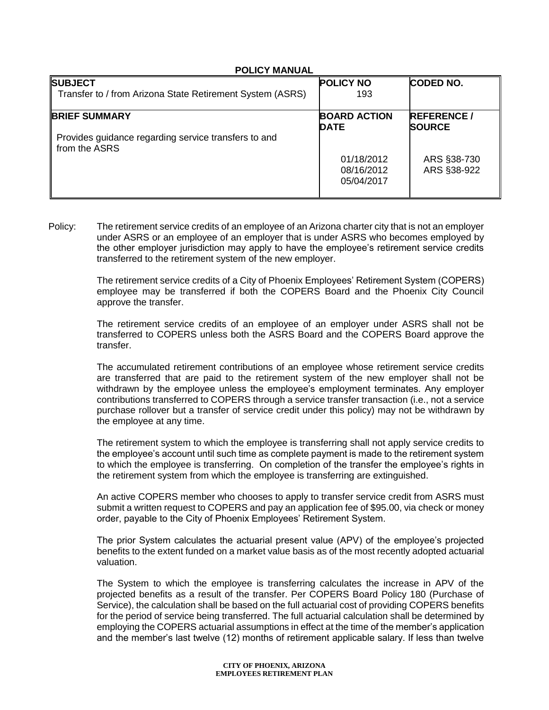#### **POLICY MANUAL**

| <b>POLICY NO</b>                       | <b>CODED NO.</b>                   |
|----------------------------------------|------------------------------------|
| 193                                    |                                    |
| <b>BOARD ACTION</b><br><b>DATE</b>     | <b>REFERENCE/</b><br><b>SOURCE</b> |
|                                        |                                    |
| 01/18/2012<br>08/16/2012<br>05/04/2017 | ARS §38-730<br>ARS §38-922         |
|                                        |                                    |

Policy: The retirement service credits of an employee of an Arizona charter city that is not an employer under ASRS or an employee of an employer that is under ASRS who becomes employed by the other employer jurisdiction may apply to have the employee's retirement service credits transferred to the retirement system of the new employer.

> The retirement service credits of a City of Phoenix Employees' Retirement System (COPERS) employee may be transferred if both the COPERS Board and the Phoenix City Council approve the transfer.

> The retirement service credits of an employee of an employer under ASRS shall not be transferred to COPERS unless both the ASRS Board and the COPERS Board approve the transfer.

> The accumulated retirement contributions of an employee whose retirement service credits are transferred that are paid to the retirement system of the new employer shall not be withdrawn by the employee unless the employee's employment terminates. Any employer contributions transferred to COPERS through a service transfer transaction (i.e., not a service purchase rollover but a transfer of service credit under this policy) may not be withdrawn by the employee at any time.

> The retirement system to which the employee is transferring shall not apply service credits to the employee's account until such time as complete payment is made to the retirement system to which the employee is transferring. On completion of the transfer the employee's rights in the retirement system from which the employee is transferring are extinguished.

> An active COPERS member who chooses to apply to transfer service credit from ASRS must submit a written request to COPERS and pay an application fee of \$95.00, via check or money order, payable to the City of Phoenix Employees' Retirement System.

> The prior System calculates the actuarial present value (APV) of the employee's projected benefits to the extent funded on a market value basis as of the most recently adopted actuarial valuation.

> The System to which the employee is transferring calculates the increase in APV of the projected benefits as a result of the transfer. Per COPERS Board Policy 180 (Purchase of Service), the calculation shall be based on the full actuarial cost of providing COPERS benefits for the period of service being transferred. The full actuarial calculation shall be determined by employing the COPERS actuarial assumptions in effect at the time of the member's application and the member's last twelve (12) months of retirement applicable salary. If less than twelve